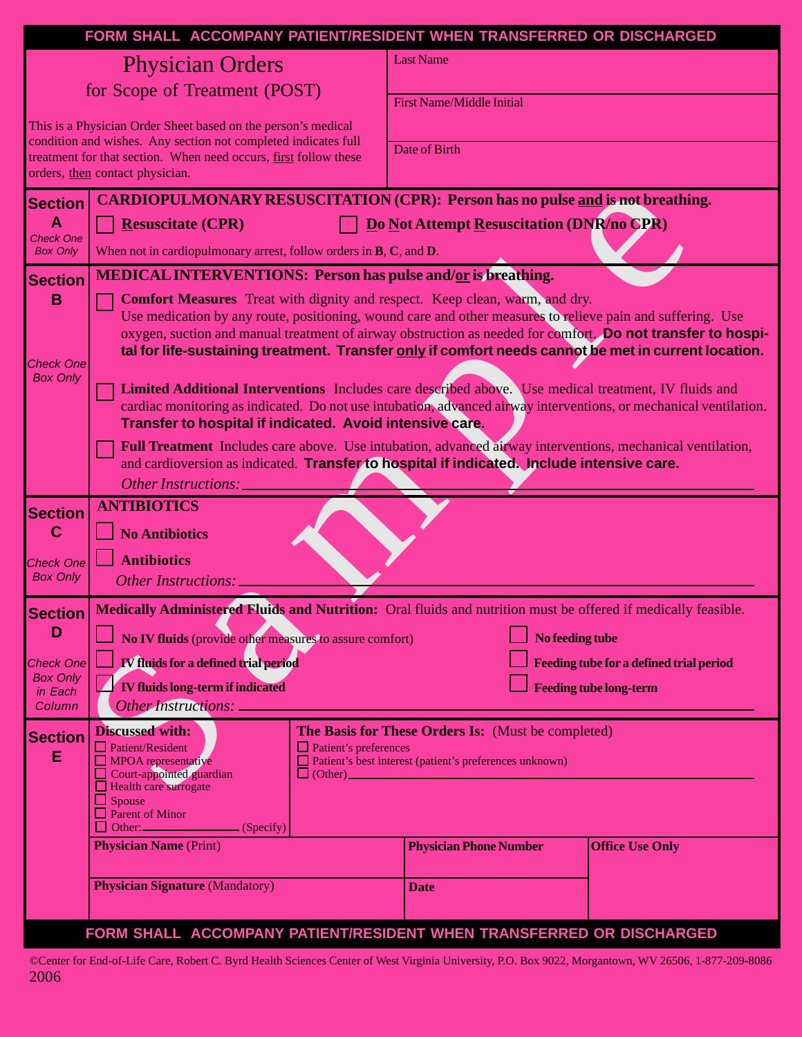|                                                     | FORM SHALL ACCOMPANY PATIENT/RESIDENT WHEN TRANSFERRED OR DISCHARGED                                                                                                                                                                                                                                                                                                                                                    |                                  |                                                |  |  |  |  |
|-----------------------------------------------------|-------------------------------------------------------------------------------------------------------------------------------------------------------------------------------------------------------------------------------------------------------------------------------------------------------------------------------------------------------------------------------------------------------------------------|----------------------------------|------------------------------------------------|--|--|--|--|
|                                                     | <b>Physician Orders</b>                                                                                                                                                                                                                                                                                                                                                                                                 | <b>Last Name</b>                 |                                                |  |  |  |  |
| for Scope of Treatment (POST)                       |                                                                                                                                                                                                                                                                                                                                                                                                                         | <b>First Name/Middle Initial</b> |                                                |  |  |  |  |
|                                                     | This is a Physician Order Sheet based on the person's medical<br>condition and wishes. Any section not completed indicates full                                                                                                                                                                                                                                                                                         |                                  |                                                |  |  |  |  |
|                                                     | treatment for that section. When need occurs, first follow these<br>orders, then contact physician.                                                                                                                                                                                                                                                                                                                     | Date of Birth                    |                                                |  |  |  |  |
| <b>Section</b>                                      | <b>CARDIOPULMONARY RESUSCITATION (CPR): Person has no pulse and is not breathing.</b>                                                                                                                                                                                                                                                                                                                                   |                                  |                                                |  |  |  |  |
| $\mathbf{A}$<br><b>Check One</b><br><b>Box Only</b> | Do Not Attempt Resuscitation (DNR/no CPR)<br><b>Resuscitate (CPR)</b><br>When not in cardiopulmonary arrest, follow orders in $B, C$ , and $D$ .                                                                                                                                                                                                                                                                        |                                  |                                                |  |  |  |  |
| <b>Section</b>                                      | <b>MEDICAL INTERVENTIONS: Person has pulse and/or is breathing.</b>                                                                                                                                                                                                                                                                                                                                                     |                                  |                                                |  |  |  |  |
| B<br><b>Check One</b>                               | <b>Comfort Measures</b> Treat with dignity and respect. Keep clean, warm, and dry.<br>Use medication by any route, positioning, wound care and other measures to relieve pain and suffering. Use<br>oxygen, suction and manual treatment of airway obstruction as needed for comfort. Do not transfer to hospi-<br>tal for life-sustaining treatment. Transfer only if comfort needs cannot be met in current location. |                                  |                                                |  |  |  |  |
| <b>Box Only</b>                                     | Limited Additional Interventions Includes care described above. Use medical treatment, IV fluids and<br>cardiac monitoring as indicated. Do not use intubation, advanced airway interventions, or mechanical ventilation.<br>Transfer to hospital if indicated. Avoid intensive care.                                                                                                                                   |                                  |                                                |  |  |  |  |
|                                                     | Full Treatment Includes care above. Use intubation, advanced an way interventions, mechanical ventilation,<br>and cardioversion as indicated. Transfer to hospital if indicated. Include intensive care.<br>Other Instructions:                                                                                                                                                                                         |                                  |                                                |  |  |  |  |
| <b>Section</b><br>$\mathbf C$                       | <b>ANTIBIOTICS</b><br><b>No Antibiotics</b>                                                                                                                                                                                                                                                                                                                                                                             |                                  |                                                |  |  |  |  |
| <b>Check One</b><br><b>Box Only</b>                 | <b>Antibiotics</b><br>Other Instructions:                                                                                                                                                                                                                                                                                                                                                                               |                                  |                                                |  |  |  |  |
|                                                     |                                                                                                                                                                                                                                                                                                                                                                                                                         |                                  |                                                |  |  |  |  |
| <b>Section</b><br>D                                 | Medically Administered Fluids and Nutrition: Oral fluids and nutrition must be offered if medically feasible.<br>No IV fluids (provide other measures to assure comfort)<br>No feeding tube                                                                                                                                                                                                                             |                                  |                                                |  |  |  |  |
| <b>Check One</b>                                    | <b>IV</b> fluids for a defined trial period                                                                                                                                                                                                                                                                                                                                                                             |                                  | <b>Feeding tube for a defined trial period</b> |  |  |  |  |
| <b>Box Only</b><br>in Each<br>Column                | <b>IV fluids long-term if indicated</b><br><b>Feeding tube long-term</b><br>Other Instructions: _                                                                                                                                                                                                                                                                                                                       |                                  |                                                |  |  |  |  |
| <b>Section</b><br>E                                 | <b>Discussed with:</b><br>The Basis for These Orders Is: (Must be completed)<br>$\Box$ Patient/Resident<br>$\Box$ Patient's preferences<br>Patient's best interest (patient's preferences unknown)<br>$\Box$ MPOA representative<br>Court-appointed guardian<br>$\Box$ (Other) $\Box$ (Other)<br>$\Box$ Health care surrogate<br>$\Box$ Spouse<br>$\Box$ Parent of Minor<br>$\frac{1}{\sqrt{2}}$ (Specify)              |                                  |                                                |  |  |  |  |
|                                                     | <b>Physician Name (Print)</b>                                                                                                                                                                                                                                                                                                                                                                                           | <b>Physician Phone Number</b>    | <b>Office Use Only</b>                         |  |  |  |  |
|                                                     | <b>Physician Signature (Mandatory)</b>                                                                                                                                                                                                                                                                                                                                                                                  | <b>Date</b>                      |                                                |  |  |  |  |
|                                                     | FORM SHALL ACCOMPANY PATIENT/RESIDENT WHEN TRANSFERRED OR DISCHARGED                                                                                                                                                                                                                                                                                                                                                    |                                  |                                                |  |  |  |  |

©Center for End-of-Life Care, Robert C. Byrd Health Sciences Center of West Virginia University, P.O. Box 9022, Morgantown, WV 26506, 1-877-209-8086 2006